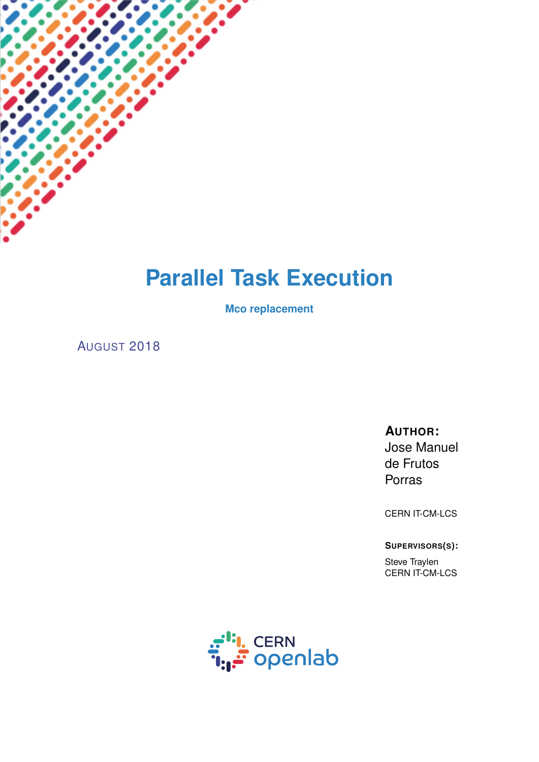# **Parallel Task Execution**

**Mco replacement**

AUGUST 2018

## **AUTHOR:**

Jose Manuel de Frutos Porras

CERN IT-CM-LCS

**SUPERVISORS(S):**

Steve Traylen CERN IT-CM-LCS

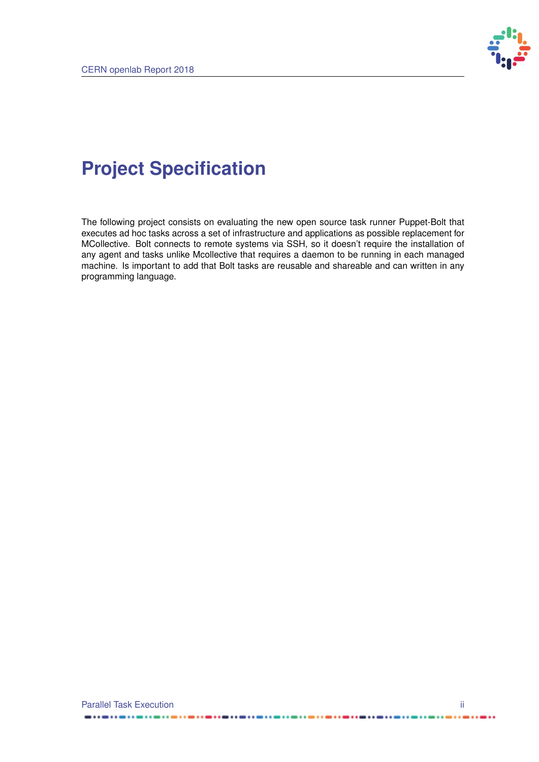

# **Project Specification**

The following project consists on evaluating the new open source task runner Puppet-Bolt that executes ad hoc tasks across a set of infrastructure and applications as possible replacement for MCollective. Bolt connects to remote systems via SSH, so it doesn't require the installation of any agent and tasks unlike Mcollective that requires a daemon to be running in each managed machine. Is important to add that Bolt tasks are reusable and shareable and can written in any programming language.

------

..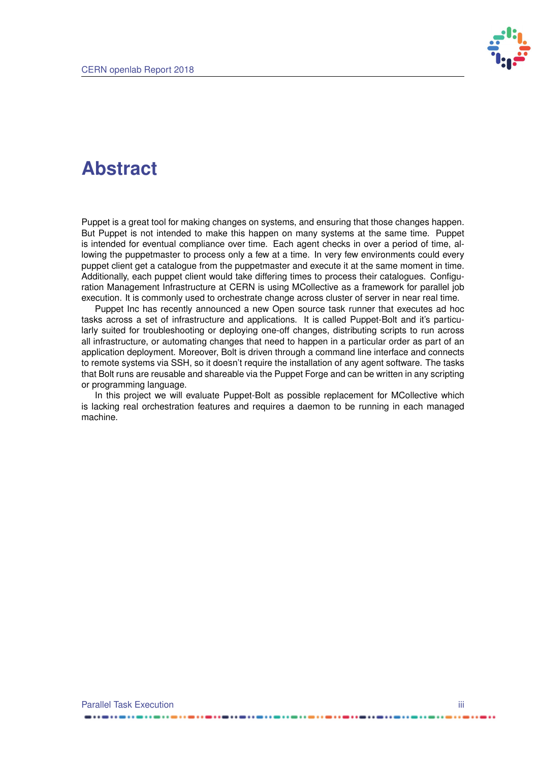

## **Abstract**

Puppet is a great tool for making changes on systems, and ensuring that those changes happen. But Puppet is not intended to make this happen on many systems at the same time. Puppet is intended for eventual compliance over time. Each agent checks in over a period of time, allowing the puppetmaster to process only a few at a time. In very few environments could every puppet client get a catalogue from the puppetmaster and execute it at the same moment in time. Additionally, each puppet client would take differing times to process their catalogues. Configuration Management Infrastructure at CERN is using MCollective as a framework for parallel job execution. It is commonly used to orchestrate change across cluster of server in near real time.

Puppet Inc has recently announced a new Open source task runner that executes ad hoc tasks across a set of infrastructure and applications. It is called Puppet-Bolt and it's particularly suited for troubleshooting or deploying one-off changes, distributing scripts to run across all infrastructure, or automating changes that need to happen in a particular order as part of an application deployment. Moreover, Bolt is driven through a command line interface and connects to remote systems via SSH, so it doesn't require the installation of any agent software. The tasks that Bolt runs are reusable and shareable via the Puppet Forge and can be written in any scripting or programming language.

In this project we will evaluate Puppet-Bolt as possible replacement for MCollective which is lacking real orchestration features and requires a daemon to be running in each managed machine.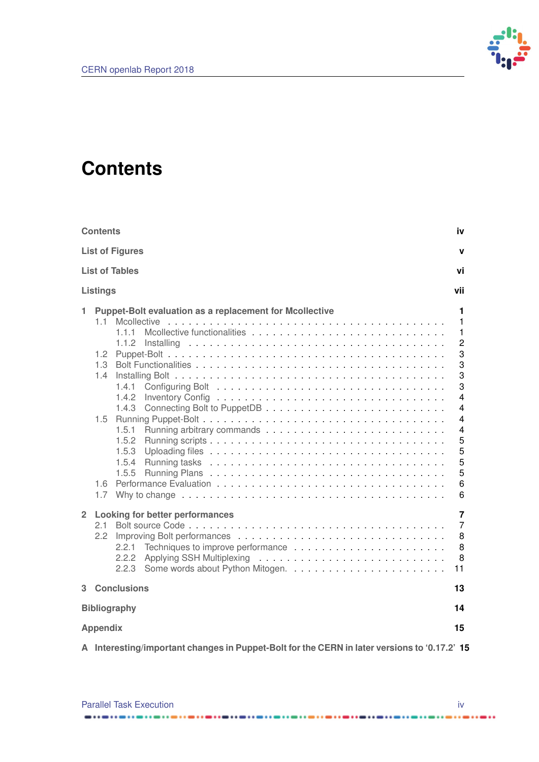

## <span id="page-3-0"></span>**Contents**

| <b>Contents</b><br>iv                                                                                                                                                                                               |                                                                                                                                                   |  |  |  |  |
|---------------------------------------------------------------------------------------------------------------------------------------------------------------------------------------------------------------------|---------------------------------------------------------------------------------------------------------------------------------------------------|--|--|--|--|
| <b>List of Figures</b><br>v                                                                                                                                                                                         |                                                                                                                                                   |  |  |  |  |
| <b>List of Tables</b><br>vi                                                                                                                                                                                         |                                                                                                                                                   |  |  |  |  |
| <b>Listings</b>                                                                                                                                                                                                     | vii                                                                                                                                               |  |  |  |  |
| Puppet-Bolt evaluation as a replacement for Mcollective<br>1<br>11<br>1.1.1<br>1.1.2<br>1.2 <sub>1</sub><br>1.3<br>1.4<br>1.4.1<br>1.4.2<br>1.4.3<br>1.5<br>1.5.1<br>1.5.2<br>1.5.3<br>1.5.4<br>1.5.5<br>1.6<br>1.7 | 1<br>1<br>$\mathbf{1}$<br>$\overline{c}$<br>3<br>3<br>3<br>3<br>4<br>4<br>$\overline{4}$<br>$\overline{\mathbf{4}}$<br>5<br>5<br>5<br>5<br>6<br>6 |  |  |  |  |
| $\overline{2}$<br><b>Looking for better performances</b><br>2.1<br>2.2<br>2.2.1<br>2.2.2<br>2.2.3                                                                                                                   | $\overline{7}$<br>$\overline{7}$<br>8<br>8<br>8<br>11                                                                                             |  |  |  |  |
| <b>Conclusions</b><br>3                                                                                                                                                                                             | 13                                                                                                                                                |  |  |  |  |
| <b>Bibliography</b><br>14                                                                                                                                                                                           |                                                                                                                                                   |  |  |  |  |
| <b>Appendix</b><br>15                                                                                                                                                                                               |                                                                                                                                                   |  |  |  |  |
| A Interesting/important changes in Puppet-Bolt for the CERN in later versions to '0.17.2' 15                                                                                                                        |                                                                                                                                                   |  |  |  |  |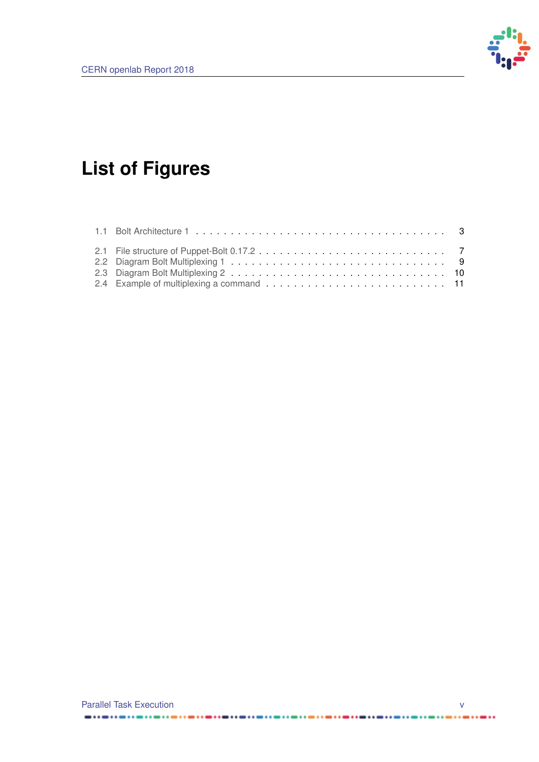

# <span id="page-4-0"></span>**List of Figures**

------------

................

. . . . . . . .

. . . . . .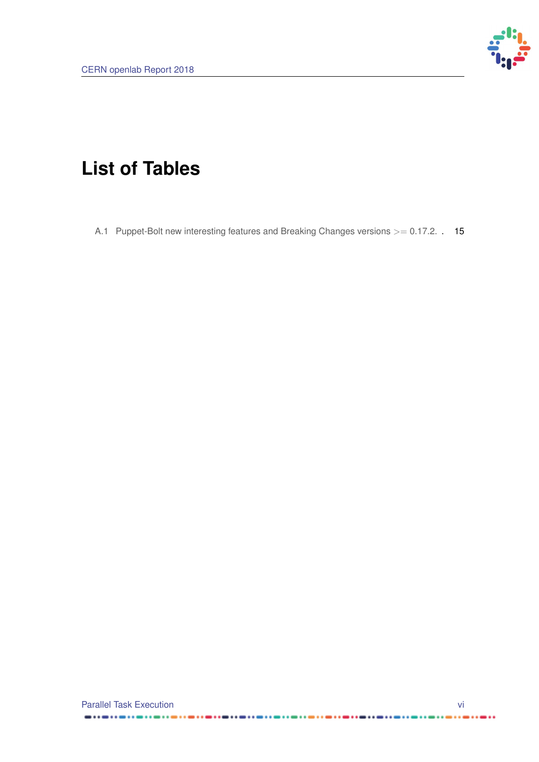

# <span id="page-5-0"></span>**List of Tables**

[A.1 Puppet-Bolt new interesting features and Breaking Changes versions](#page-21-1) >= 0.17.2. . 15

 $\cdots$ 

 $\cdots$ 

. . . **. . . . . . . . . . . . . . .** . .

. . . . . . . .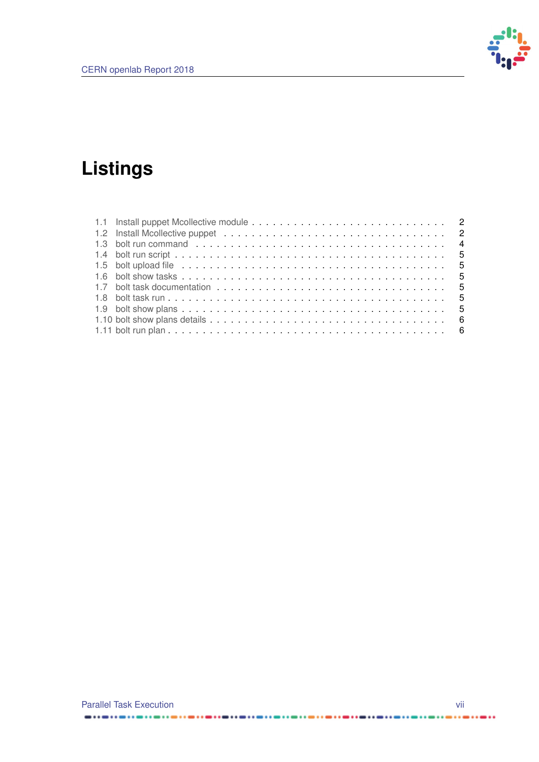

# <span id="page-6-0"></span>**Listings**

....

. . . **. . . . . . . . . .** . . .

-------------

. . . . . . . . . . . . . . . . . . . .

......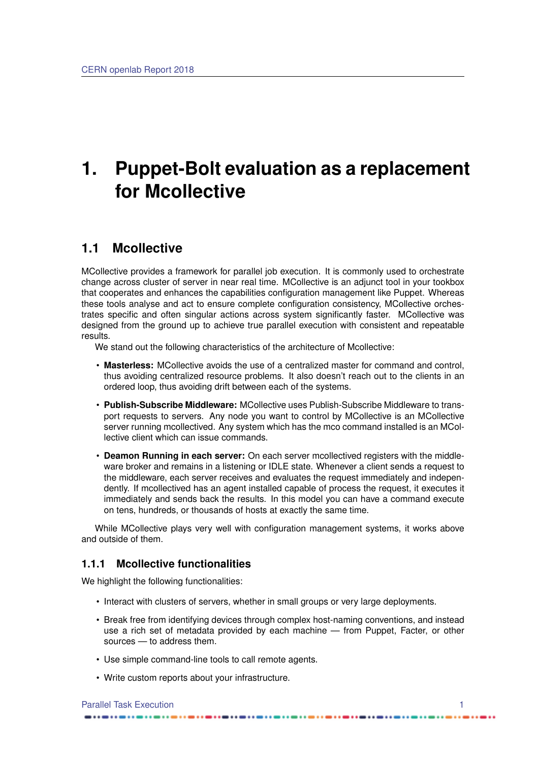## <span id="page-7-0"></span>**1. Puppet-Bolt evaluation as a replacement for Mcollective**

## <span id="page-7-1"></span>**1.1 Mcollective**

MCollective provides a framework for parallel job execution. It is commonly used to orchestrate change across cluster of server in near real time. MCollective is an adjunct tool in your tookbox that cooperates and enhances the capabilities configuration management like Puppet. Whereas these tools analyse and act to ensure complete configuration consistency, MCollective orchestrates specific and often singular actions across system significantly faster. MCollective was designed from the ground up to achieve true parallel execution with consistent and repeatable results.

We stand out the following characteristics of the architecture of Mcollective:

- **Masterless:** MCollective avoids the use of a centralized master for command and control, thus avoiding centralized resource problems. It also doesn't reach out to the clients in an ordered loop, thus avoiding drift between each of the systems.
- **Publish-Subscribe Middleware:** MCollective uses Publish-Subscribe Middleware to transport requests to servers. Any node you want to control by MCollective is an MCollective server running mcollectived. Any system which has the mco command installed is an MCollective client which can issue commands.
- **Deamon Running in each server:** On each server mcollectived registers with the middleware broker and remains in a listening or IDLE state. Whenever a client sends a request to the middleware, each server receives and evaluates the request immediately and independently. If mcollectived has an agent installed capable of process the request, it executes it immediately and sends back the results. In this model you can have a command execute on tens, hundreds, or thousands of hosts at exactly the same time.

While MCollective plays very well with configuration management systems, it works above and outside of them.

#### <span id="page-7-2"></span>**1.1.1 Mcollective functionalities**

We highlight the following functionalities:

- Interact with clusters of servers, whether in small groups or very large deployments.
- Break free from identifying devices through complex host-naming conventions, and instead use a rich set of metadata provided by each machine — from Puppet, Facter, or other sources — to address them.
- Use simple command-line tools to call remote agents.
- Write custom reports about your infrastructure.

#### Parallel Task Execution 1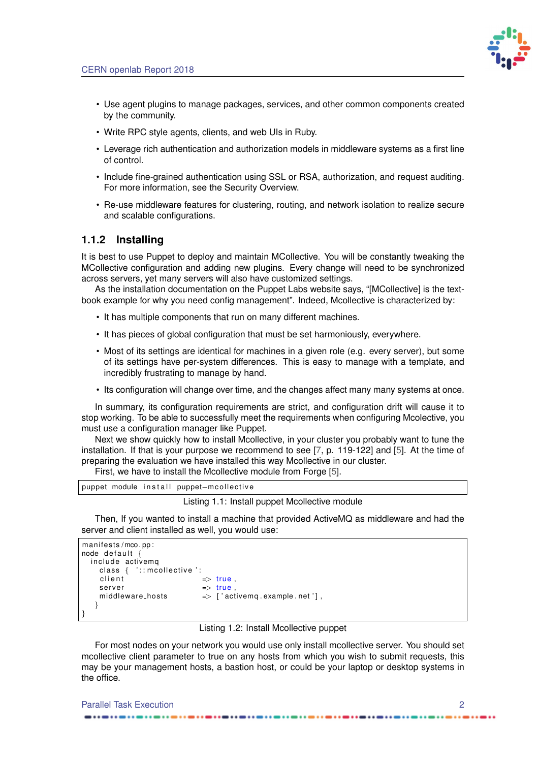

- <span id="page-8-4"></span>• Use agent plugins to manage packages, services, and other common components created by the community.
- Write RPC style agents, clients, and web UIs in Ruby.
- Leverage rich authentication and authorization models in middleware systems as a first line of control.
- Include fine-grained authentication using SSL or RSA, authorization, and request auditing. For more information, see the Security Overview.
- Re-use middleware features for clustering, routing, and network isolation to realize secure and scalable configurations.

#### <span id="page-8-0"></span>**1.1.2 Installing**

It is best to use Puppet to deploy and maintain MCollective. You will be constantly tweaking the MCollective configuration and adding new plugins. Every change will need to be synchronized across servers, yet many servers will also have customized settings.

As the installation documentation on the Puppet Labs website says, "[MCollective] is the textbook example for why you need config management". Indeed, Mcollective is characterized by:

- It has multiple components that run on many different machines.
- It has pieces of global configuration that must be set harmoniously, everywhere.
- Most of its settings are identical for machines in a given role (e.g. every server), but some of its settings have per-system differences. This is easy to manage with a template, and incredibly frustrating to manage by hand.
- Its configuration will change over time, and the changes affect many many systems at once.

In summary, its configuration requirements are strict, and configuration drift will cause it to stop working. To be able to successfully meet the requirements when configuring Mcolective, you must use a configuration manager like Puppet.

Next we show quickly how to install Mcollective, in your cluster you probably want to tune the installation. If that is your purpose we recommend to see [\[7,](#page-20-1) p. 119-122] and [\[5\]](#page-20-2). At the time of preparing the evaluation we have installed this way Mcollective in our cluster.

First, we have to install the Mcollective module from Forge [\[5\]](#page-20-2).

```
puppet module in stall puppet-m collective
```
#### Listing 1.1: Install puppet Mcollective module

Then, If you wanted to install a machine that provided ActiveMQ as middleware and had the server and client installed as well, you would use:

```
manifests/mco. pp:
node default {
 include activema
   class \{ ': mcollective ':client \Rightarrow true,
   s erver \Rightarrow true
   middleware_hosts \implies ['activemq.example.net'],
  }
}
```
#### Listing 1.2: Install Mcollective puppet

For most nodes on your network you would use only install mcollective server. You should set mcollective client parameter to true on any hosts from which you wish to submit requests, this may be your management hosts, a bastion host, or could be your laptop or desktop systems in the office.

<span id="page-8-1"></span>Parallel Task Execution 2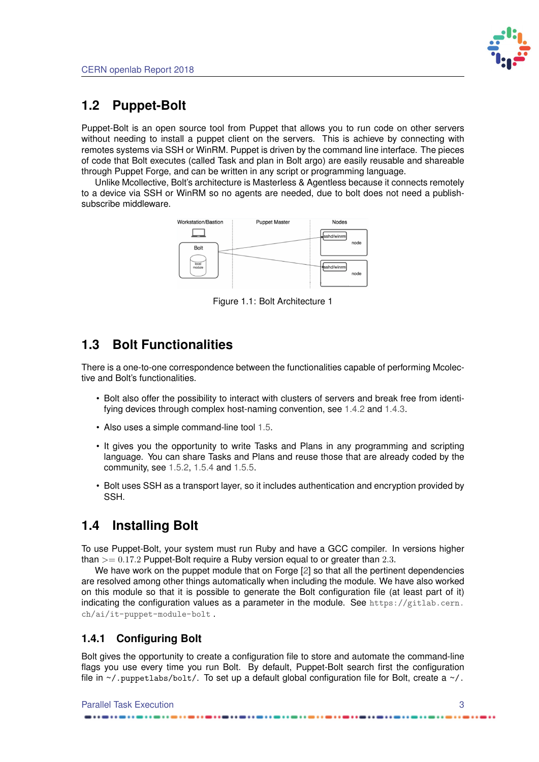

## <span id="page-9-4"></span>**1.2 Puppet-Bolt**

Puppet-Bolt is an open source tool from Puppet that allows you to run code on other servers without needing to install a puppet client on the servers. This is achieve by connecting with remotes systems via SSH or WinRM. Puppet is driven by the command line interface. The pieces of code that Bolt executes (called Task and plan in Bolt argo) are easily reusable and shareable through Puppet Forge, and can be written in any script or programming language.

<span id="page-9-3"></span>Unlike Mcollective, Bolt's architecture is Masterless & Agentless because it connects remotely to a device via SSH or WinRM so no agents are needed, due to bolt does not need a publishsubscribe middleware.



Figure 1.1: Bolt Architecture 1

## <span id="page-9-0"></span>**1.3 Bolt Functionalities**

There is a one-to-one correspondence between the functionalities capable of performing Mcolective and Bolt's functionalities.

- Bolt also offer the possibility to interact with clusters of servers and break free from identifying devices through complex host-naming convention, see [1.4.2](#page-10-0) and [1.4.3.](#page-10-1)
- Also uses a simple command-line tool [1.5.](#page-10-2)
- It gives you the opportunity to write Tasks and Plans in any programming and scripting language. You can share Tasks and Plans and reuse those that are already coded by the community, see [1.5.2,](#page-10-4) [1.5.4](#page-11-1) and [1.5.5.](#page-11-2)
- Bolt uses SSH as a transport layer, so it includes authentication and encryption provided by SSH.

## <span id="page-9-1"></span>**1.4 Installing Bolt**

To use Puppet-Bolt, your system must run Ruby and have a GCC compiler. In versions higher than  $>= 0.17.2$  Puppet-Bolt require a Ruby version equal to or greater than 2.3.

We have work on the puppet module that on Forge [\[2\]](#page-20-3) so that all the pertinent dependencies are resolved among other things automatically when including the module. We have also worked on this module so that it is possible to generate the Bolt configuration file (at least part of it) indicating the configuration values as a parameter in the module. See [https://gitlab.cern.](https://gitlab.cern.ch/ai/it-puppet-module-bolt) [ch/ai/it-puppet-module-bolt](https://gitlab.cern.ch/ai/it-puppet-module-bolt) .

## <span id="page-9-2"></span>**1.4.1 Configuring Bolt**

Bolt gives the opportunity to create a configuration file to store and automate the command-line flags you use every time you run Bolt. By default, Puppet-Bolt search first the configuration file in  $\sim$ /.puppetlabs/bolt/. To set up a default global configuration file for Bolt, create a  $\sim$ /.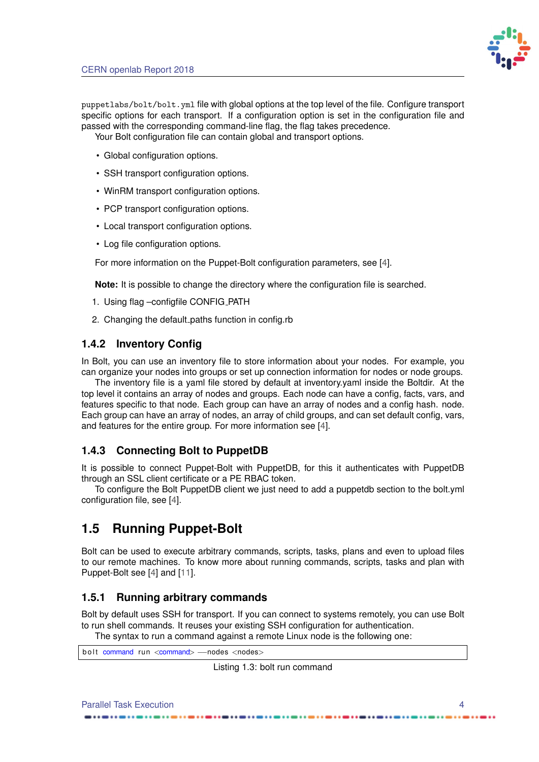

<span id="page-10-6"></span>puppetlabs/bolt/bolt.yml file with global options at the top level of the file. Configure transport specific options for each transport. If a configuration option is set in the configuration file and passed with the corresponding command-line flag, the flag takes precedence.

Your Bolt configuration file can contain global and transport options.

- Global configuration options.
- SSH transport configuration options.
- WinRM transport configuration options.
- PCP transport configuration options.
- Local transport configuration options.
- Log file configuration options.

For more information on the Puppet-Bolt configuration parameters, see [\[4\]](#page-20-4).

**Note:** It is possible to change the directory where the configuration file is searched.

- 1. Using flag -configfile CONFIG\_PATH
- 2. Changing the default paths function in config.rb

#### <span id="page-10-0"></span>**1.4.2 Inventory Config**

In Bolt, you can use an inventory file to store information about your nodes. For example, you can organize your nodes into groups or set up connection information for nodes or node groups.

The inventory file is a yaml file stored by default at inventory.yaml inside the Boltdir. At the top level it contains an array of nodes and groups. Each node can have a config, facts, vars, and features specific to that node. Each group can have an array of nodes and a config hash. node. Each group can have an array of nodes, an array of child groups, and can set default config, vars, and features for the entire group. For more information see [\[4\]](#page-20-4).

### <span id="page-10-1"></span>**1.4.3 Connecting Bolt to PuppetDB**

It is possible to connect Puppet-Bolt with PuppetDB, for this it authenticates with PuppetDB through an SSL client certificate or a PE RBAC token.

To configure the Bolt PuppetDB client we just need to add a puppetdb section to the bolt.yml configuration file, see [\[4\]](#page-20-4).

## <span id="page-10-2"></span>**1.5 Running Puppet-Bolt**

Bolt can be used to execute arbitrary commands, scripts, tasks, plans and even to upload files to our remote machines. To know more about running commands, scripts, tasks and plan with Puppet-Bolt see [\[4\]](#page-20-4) and [\[11\]](#page-20-5).

### <span id="page-10-3"></span>**1.5.1 Running arbitrary commands**

Bolt by default uses SSH for transport. If you can connect to systems remotely, you can use Bolt to run shell commands. It reuses your existing SSH configuration for authentication.

The syntax to run a command against a remote Linux node is the following one:

<span id="page-10-5"></span><span id="page-10-4"></span>b o lt command run <command> --nodes <nodes>

Listing 1.3: bolt run command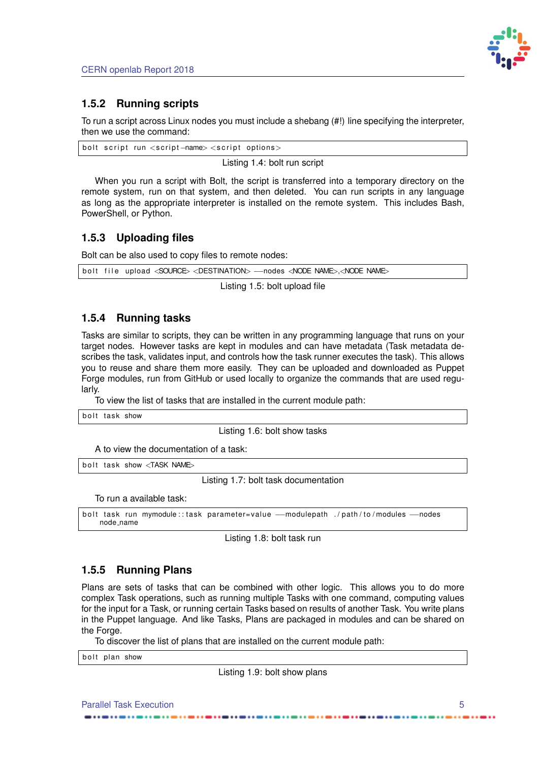

## **1.5.2 Running scripts**

To run a script across Linux nodes you must include a shebang (#!) line specifying the interpreter, then we use the command:

<span id="page-11-3"></span>bolt script run <script –name> <script options>

Listing 1.4: bolt run script

When you run a script with Bolt, the script is transferred into a temporary directory on the remote system, run on that system, and then deleted. You can run scripts in any language as long as the appropriate interpreter is installed on the remote system. This includes Bash, PowerShell, or Python.

### <span id="page-11-0"></span>**1.5.3 Uploading files**

Bolt can be also used to copy files to remote nodes:

```
bolt file upload <SOURCE> <DESTINATION> ---nodes <NODE NAME>,<NODE NAME>
```
Listing 1.5: bolt upload file

### <span id="page-11-1"></span>**1.5.4 Running tasks**

Tasks are similar to scripts, they can be written in any programming language that runs on your target nodes. However tasks are kept in modules and can have metadata (Task metadata describes the task, validates input, and controls how the task runner executes the task). This allows you to reuse and share them more easily. They can be uploaded and downloaded as Puppet Forge modules, run from GitHub or used locally to organize the commands that are used regularly.

To view the list of tasks that are installed in the current module path:

<span id="page-11-5"></span>bolt task show

Listing 1.6: bolt show tasks

A to view the documentation of a task:

<span id="page-11-6"></span>bolt task show <TASK NAME>

Listing 1.7: bolt task documentation

To run a available task:

```
bolt task run mymodule :: task parameter=value --modulepath ./path/to/modules ---nodes
   node name
```
Listing 1.8: bolt task run

#### <span id="page-11-2"></span>**1.5.5 Running Plans**

Plans are sets of tasks that can be combined with other logic. This allows you to do more complex Task operations, such as running multiple Tasks with one command, computing values for the input for a Task, or running certain Tasks based on results of another Task. You write plans in the Puppet language. And like Tasks, Plans are packaged in modules and can be shared on the Forge.

To discover the list of plans that are installed on the current module path:

<span id="page-11-8"></span>bolt plan show

Listing 1.9: bolt show plans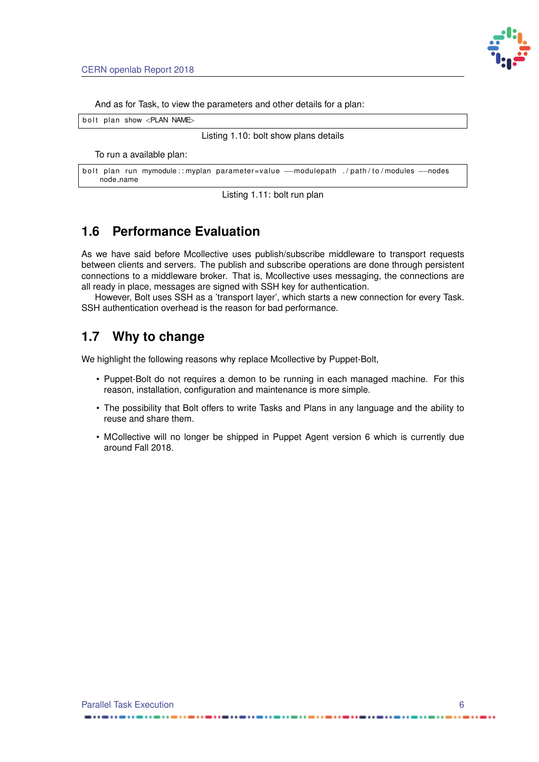

And as for Task, to view the parameters and other details for a plan:

<span id="page-12-2"></span>bolt plan show <PLAN NAME>

Listing 1.10: bolt show plans details

To run a available plan:

```
bolt plan run mymodule :: myplan parameter=value —modulepath ./path/to/modules ---nodes
   node name
```
Listing 1.11: bolt run plan

## <span id="page-12-0"></span>**1.6 Performance Evaluation**

As we have said before Mcollective uses publish/subscribe middleware to transport requests between clients and servers. The publish and subscribe operations are done through persistent connections to a middleware broker. That is, Mcollective uses messaging, the connections are all ready in place, messages are signed with SSH key for authentication.

However, Bolt uses SSH as a 'transport layer', which starts a new connection for every Task. SSH authentication overhead is the reason for bad performance.

## <span id="page-12-1"></span>**1.7 Why to change**

We highlight the following reasons why replace Mcollective by Puppet-Bolt,

- Puppet-Bolt do not requires a demon to be running in each managed machine. For this reason, installation, configuration and maintenance is more simple.
- The possibility that Bolt offers to write Tasks and Plans in any language and the ability to reuse and share them.
- MCollective will no longer be shipped in Puppet Agent version 6 which is currently due around Fall 2018.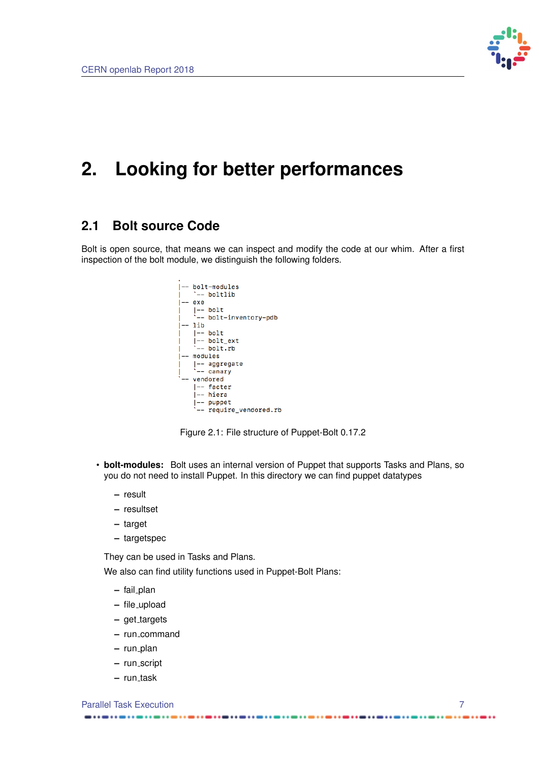

## <span id="page-13-0"></span>**2. Looking for better performances**

## <span id="page-13-1"></span>**2.1 Bolt source Code**

<span id="page-13-2"></span>Bolt is open source, that means we can inspect and modify the code at our whim. After a first inspection of the bolt module, we distinguish the following folders.



Figure 2.1: File structure of Puppet-Bolt 0.17.2

- **bolt-modules:** Bolt uses an internal version of Puppet that supports Tasks and Plans, so you do not need to install Puppet. In this directory we can find puppet datatypes
	- **–** result
	- **–** resultset
	- **–** target
	- **–** targetspec

They can be used in Tasks and Plans.

We also can find utility functions used in Puppet-Bolt Plans:

- **–** fail plan
- **–** file upload
- $-$  get\_targets
- **–** run command
- **–** run plan
- **–** run script
- $-$  run\_task

**Parallel Task Execution 7** 2022 12:30 12:30 12:30 12:30 12:30 12:30 12:30 12:30 12:30 12:30 12:30 12:30 12:30 12:30 12:30 12:30 12:30 12:30 12:30 12:30 12:30 12:30 12:30 12:30 12:30 12:30 12:30 12:30 12:30 12:30 12:30 12:

-------

. . . . . .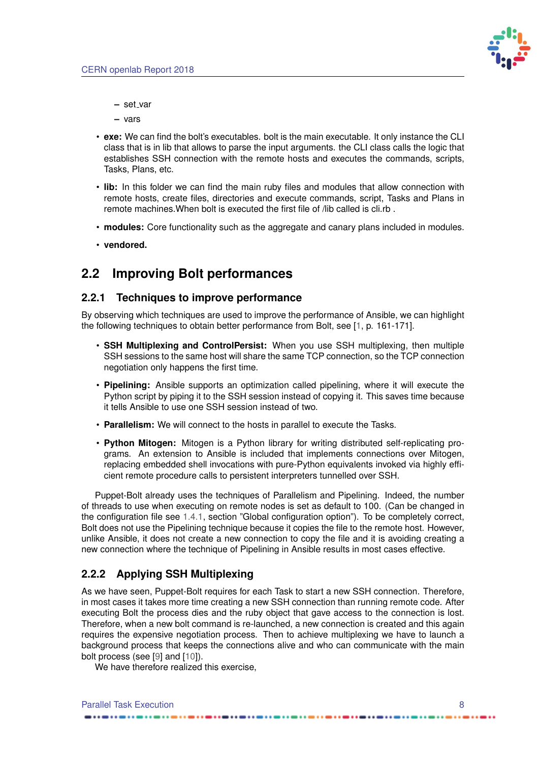

- <span id="page-14-3"></span>**–** set var
- **–** vars
- **exe:** We can find the bolt's executables. bolt is the main executable. It only instance the CLI class that is in lib that allows to parse the input arguments. the CLI class calls the logic that establishes SSH connection with the remote hosts and executes the commands, scripts, Tasks, Plans, etc.
- **lib:** In this folder we can find the main ruby files and modules that allow connection with remote hosts, create files, directories and execute commands, script, Tasks and Plans in remote machines.When bolt is executed the first file of /lib called is cli.rb .
- **modules:** Core functionality such as the aggregate and canary plans included in modules.
- **vendored.**

## <span id="page-14-0"></span>**2.2 Improving Bolt performances**

#### <span id="page-14-1"></span>**2.2.1 Techniques to improve performance**

By observing which techniques are used to improve the performance of Ansible, we can highlight the following techniques to obtain better performance from Bolt, see [\[1,](#page-20-6) p. 161-171].

- **SSH Multiplexing and ControlPersist:** When you use SSH multiplexing, then multiple SSH sessions to the same host will share the same TCP connection, so the TCP connection negotiation only happens the first time.
- **Pipelining:** Ansible supports an optimization called pipelining, where it will execute the Python script by piping it to the SSH session instead of copying it. This saves time because it tells Ansible to use one SSH session instead of two.
- **Parallelism:** We will connect to the hosts in parallel to execute the Tasks.
- **Python Mitogen:** Mitogen is a Python library for writing distributed self-replicating programs. An extension to Ansible is included that implements connections over Mitogen, replacing embedded shell invocations with pure-Python equivalents invoked via highly efficient remote procedure calls to persistent interpreters tunnelled over SSH.

Puppet-Bolt already uses the techniques of Parallelism and Pipelining. Indeed, the number of threads to use when executing on remote nodes is set as default to 100. (Can be changed in the configuration file see [1.4.1,](#page-9-2) section "Global configuration option"). To be completely correct, Bolt does not use the Pipelining technique because it copies the file to the remote host. However, unlike Ansible, it does not create a new connection to copy the file and it is avoiding creating a new connection where the technique of Pipelining in Ansible results in most cases effective.

### <span id="page-14-2"></span>**2.2.2 Applying SSH Multiplexing**

As we have seen, Puppet-Bolt requires for each Task to start a new SSH connection. Therefore, in most cases it takes more time creating a new SSH connection than running remote code. After executing Bolt the process dies and the ruby object that gave access to the connection is lost. Therefore, when a new bolt command is re-launched, a new connection is created and this again requires the expensive negotiation process. Then to achieve multiplexing we have to launch a background process that keeps the connections alive and who can communicate with the main bolt process (see [\[9\]](#page-20-7) and [\[10\]](#page-20-8)).

We have therefore realized this exercise,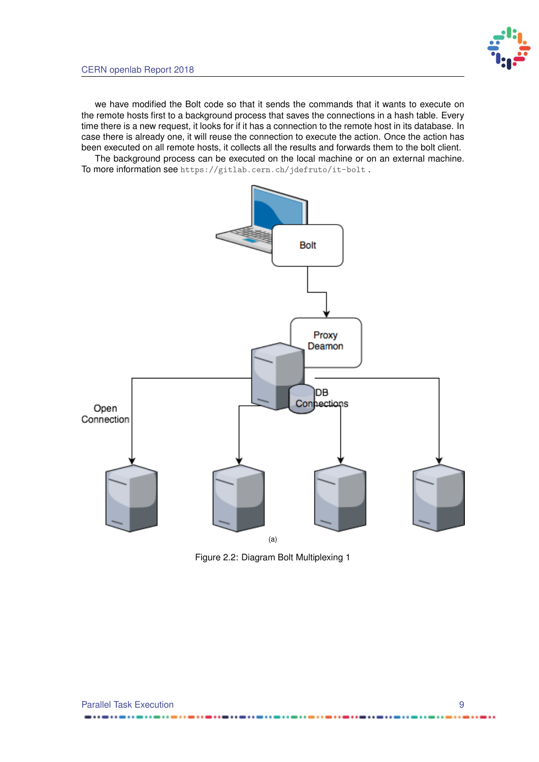we have modified the Bolt code so that it sends the commands that it wants to execute on the remote hosts first to a background process that saves the connections in a hash table. Every time there is a new request, it looks for if it has a connection to the remote host in its database. In case there is already one, it will reuse the connection to execute the action. Once the action has been executed on all remote hosts, it collects all the results and forwards them to the bolt client.

The background process can be executed on the local machine or on an external machine. To more information see <https://gitlab.cern.ch/jdefruto/it-bolt> .

<span id="page-15-1"></span><span id="page-15-0"></span>

Figure 2.2: Diagram Bolt Multiplexing 1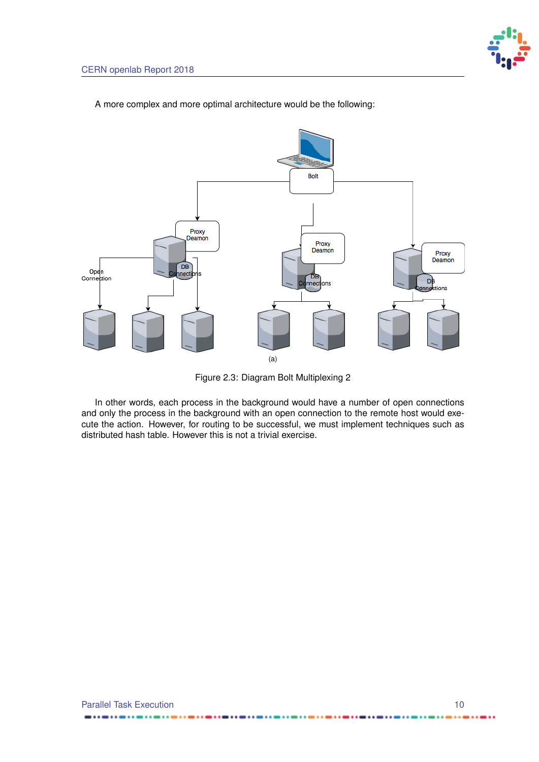<span id="page-16-1"></span><span id="page-16-0"></span>**Bolt** Proxy Deamon Proxy Deamon Proxy<br>Deamon  $DB$ Open<br>Connection nect 'nв DB<br>nnections med ns (a)

A more complex and more optimal architecture would be the following:

Figure 2.3: Diagram Bolt Multiplexing 2

In other words, each process in the background would have a number of open connections and only the process in the background with an open connection to the remote host would execute the action. However, for routing to be successful, we must implement techniques such as distributed hash table. However this is not a trivial exercise.

...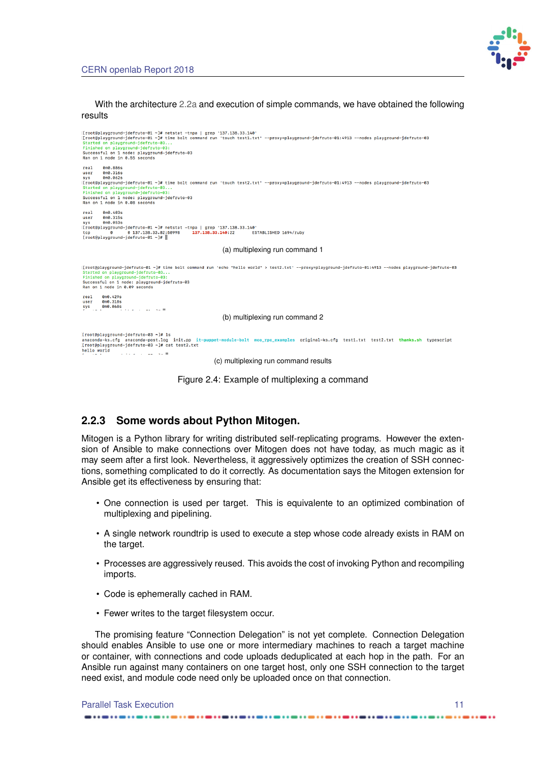

#### With the architecture [2.2a](#page-15-1) and execution of simple commands, we have obtained the following results

<span id="page-17-1"></span>

Figure 2.4: Example of multiplexing a command

### <span id="page-17-0"></span>**2.2.3 Some words about Python Mitogen.**

Mitogen is a Python library for writing distributed self-replicating programs. However the extension of Ansible to make connections over Mitogen does not have today, as much magic as it may seem after a first look. Nevertheless, it aggressively optimizes the creation of SSH connections, something complicated to do it correctly. As documentation says the Mitogen extension for Ansible get its effectiveness by ensuring that:

- One connection is used per target. This is equivalente to an optimized combination of multiplexing and pipelining.
- A single network roundtrip is used to execute a step whose code already exists in RAM on the target.
- Processes are aggressively reused. This avoids the cost of invoking Python and recompiling imports.
- Code is ephemerally cached in RAM.
- Fewer writes to the target filesystem occur.

The promising feature "Connection Delegation" is not yet complete. Connection Delegation should enables Ansible to use one or more intermediary machines to reach a target machine or container, with connections and code uploads deduplicated at each hop in the path. For an Ansible run against many containers on one target host, only one SSH connection to the target need exist, and module code need only be uploaded once on that connection.

| <b>Parallel Task Execution</b> |  |
|--------------------------------|--|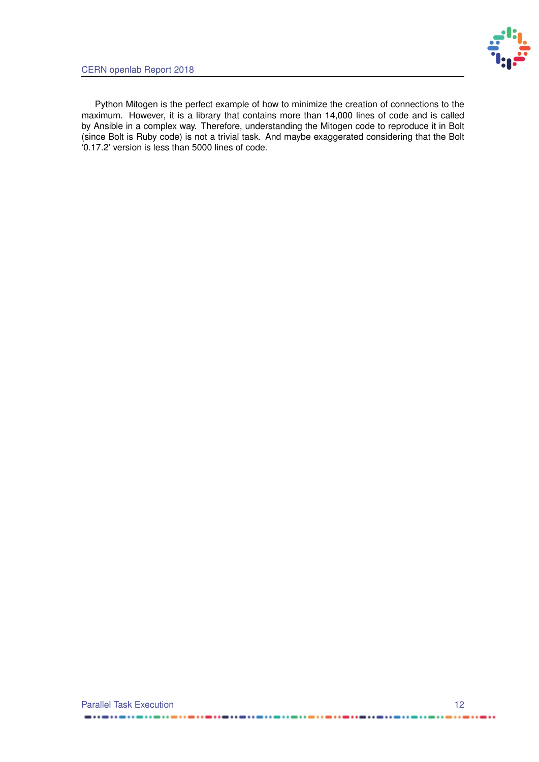

Python Mitogen is the perfect example of how to minimize the creation of connections to the maximum. However, it is a library that contains more than 14,000 lines of code and is called by Ansible in a complex way. Therefore, understanding the Mitogen code to reproduce it in Bolt (since Bolt is Ruby code) is not a trivial task. And maybe exaggerated considering that the Bolt '0.17.2' version is less than 5000 lines of code.

 $\qquad \qquad \blacksquare \bullet \bullet \bullet \bullet \bullet \bullet \bullet$ 

 $\cdots$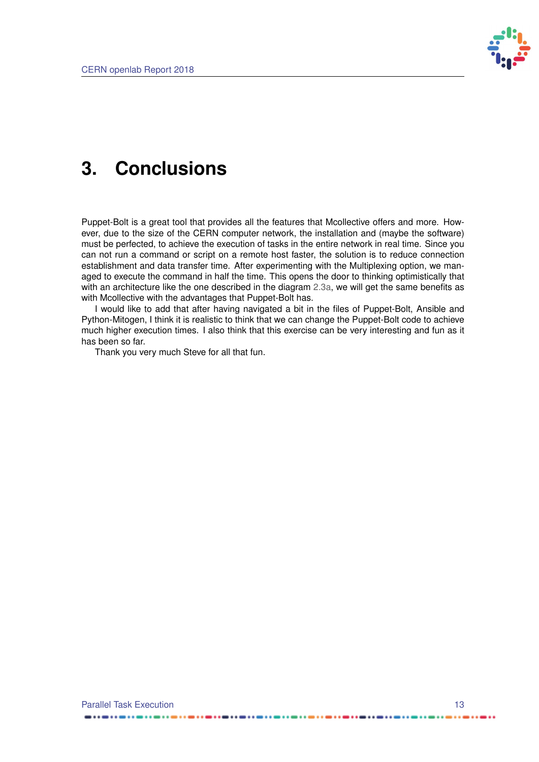

## <span id="page-19-0"></span>**3. Conclusions**

Puppet-Bolt is a great tool that provides all the features that Mcollective offers and more. However, due to the size of the CERN computer network, the installation and (maybe the software) must be perfected, to achieve the execution of tasks in the entire network in real time. Since you can not run a command or script on a remote host faster, the solution is to reduce connection establishment and data transfer time. After experimenting with the Multiplexing option, we managed to execute the command in half the time. This opens the door to thinking optimistically that with an architecture like the one described in the diagram [2.3a,](#page-16-1) we will get the same benefits as with Mcollective with the advantages that Puppet-Bolt has.

I would like to add that after having navigated a bit in the files of Puppet-Bolt, Ansible and Python-Mitogen, I think it is realistic to think that we can change the Puppet-Bolt code to achieve much higher execution times. I also think that this exercise can be very interesting and fun as it has been so far.

Thank you very much Steve for all that fun.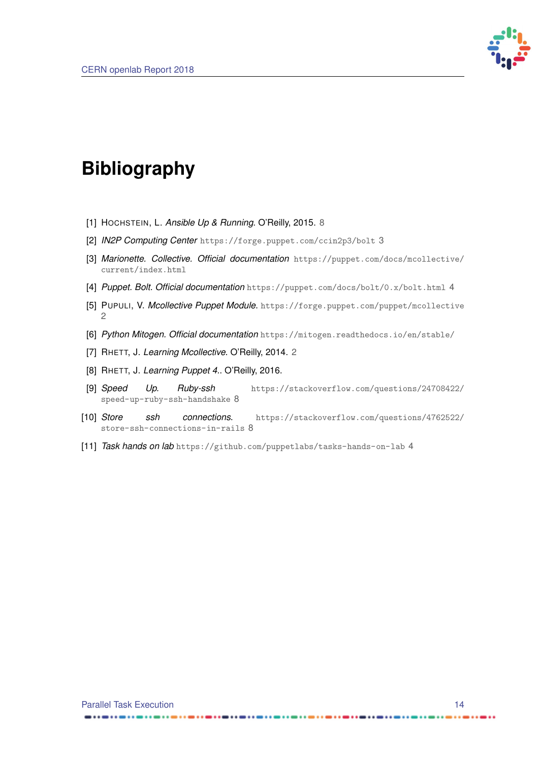

## <span id="page-20-0"></span>**Bibliography**

- <span id="page-20-6"></span>[1] HOCHSTEIN, L. *Ansible Up & Running*. O'Reilly, 2015. [8](#page-14-3)
- <span id="page-20-3"></span>[2] *IN2P Computing Center* <https://forge.puppet.com/ccin2p3/bolt> [3](#page-9-4)
- [3] *Marionette. Collective. Official documentation* [https://puppet.com/docs/mcollective/](https://puppet.com/docs/mcollective/current/index.html) [current/index.html](https://puppet.com/docs/mcollective/current/index.html)
- <span id="page-20-4"></span>[4] *Puppet. Bolt. Official documentation* <https://puppet.com/docs/bolt/0.x/bolt.html> [4](#page-10-6)
- <span id="page-20-2"></span>[5] PUPULI, V. *Mcollective Puppet Module*. <https://forge.puppet.com/puppet/mcollective> [2](#page-8-4)
- [6] *Python Mitogen. Official documentation* <https://mitogen.readthedocs.io/en/stable/>
- <span id="page-20-1"></span>[7] RHETT, J. *Learning Mcollective*. O'Reilly, 2014. [2](#page-8-4)
- [8] RHETT, J. *Learning Puppet 4.*. O'Reilly, 2016.
- <span id="page-20-7"></span>[9] *Speed Up. Ruby-ssh* [https://stackoverflow.com/questions/24708422/](https://stackoverflow.com/questions/24708422/speed-up-ruby-ssh-handshake) [speed-up-ruby-ssh-handshake](https://stackoverflow.com/questions/24708422/speed-up-ruby-ssh-handshake) [8](#page-14-3)
- <span id="page-20-8"></span>[10] *Store ssh connections*. [https://stackoverflow.com/questions/4762522/](https://stackoverflow.com/questions/4762522/store-ssh-connections-in-rails) [store-ssh-connections-in-rails](https://stackoverflow.com/questions/4762522/store-ssh-connections-in-rails) [8](#page-14-3)
- <span id="page-20-5"></span>[11] *Task hands on lab* <https://github.com/puppetlabs/tasks-hands-on-lab> [4](#page-10-6)

...